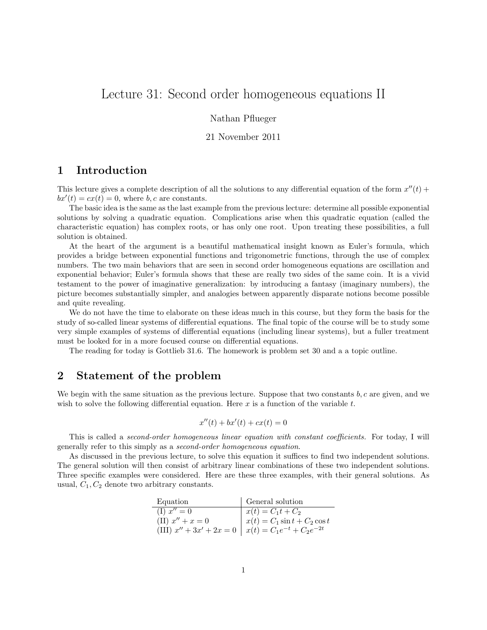# Lecture 31: Second order homogeneous equations II

#### Nathan Pflueger

#### 21 November 2011

## 1 Introduction

This lecture gives a complete description of all the solutions to any differential equation of the form  $x''(t)$  +  $bx'(t) = cx(t) = 0$ , where b, c are constants.

The basic idea is the same as the last example from the previous lecture: determine all possible exponential solutions by solving a quadratic equation. Complications arise when this quadratic equation (called the characteristic equation) has complex roots, or has only one root. Upon treating these possibilities, a full solution is obtained.

At the heart of the argument is a beautiful mathematical insight known as Euler's formula, which provides a bridge between exponential functions and trigonometric functions, through the use of complex numbers. The two main behaviors that are seen in second order homogeneous equations are oscillation and exponential behavior; Euler's formula shows that these are really two sides of the same coin. It is a vivid testament to the power of imaginative generalization: by introducing a fantasy (imaginary numbers), the picture becomes substantially simpler, and analogies between apparently disparate notions become possible and quite revealing.

We do not have the time to elaborate on these ideas much in this course, but they form the basis for the study of so-called linear systems of differential equations. The final topic of the course will be to study some very simple examples of systems of differential equations (including linear systems), but a fuller treatment must be looked for in a more focused course on differential equations.

The reading for today is Gottlieb 31.6. The homework is problem set 30 and a a topic outline.

# 2 Statement of the problem

We begin with the same situation as the previous lecture. Suppose that two constants  $b, c$  are given, and we wish to solve the following differential equation. Here  $x$  is a function of the variable  $t$ .

$$
x''(t) + bx'(t) + cx(t) = 0
$$

This is called a second-order homogeneous linear equation with constant coefficients. For today, I will generally refer to this simply as a second-order homogeneous equation.

As discussed in the previous lecture, to solve this equation it suffices to find two independent solutions. The general solution will then consist of arbitrary linear combinations of these two independent solutions. Three specific examples were considered. Here are these three examples, with their general solutions. As usual,  $C_1, C_2$  denote two arbitrary constants.

| Equation                                                       | General solution                 |
|----------------------------------------------------------------|----------------------------------|
| $(I) x'' = 0$                                                  | $x(t) = C_1 t + C_2$             |
| (II) $x'' + x = 0$                                             | $x(t) = C_1 \sin t + C_2 \cos t$ |
| (III) $x'' + 3x' + 2x = 0$   $x(t) = C_1 e^{-t} + C_2 e^{-2t}$ |                                  |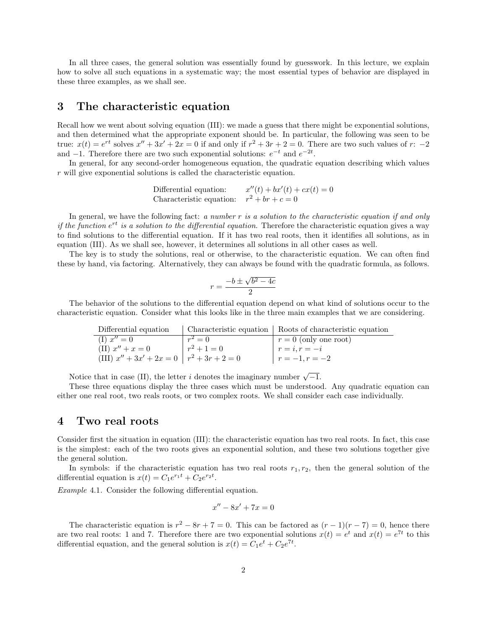In all three cases, the general solution was essentially found by guesswork. In this lecture, we explain how to solve all such equations in a systematic way; the most essential types of behavior are displayed in these three examples, as we shall see.

### 3 The characteristic equation

Recall how we went about solving equation (III): we made a guess that there might be exponential solutions, and then determined what the appropriate exponent should be. In particular, the following was seen to be true:  $x(t) = e^{rt}$  solves  $x'' + 3x' + 2x = 0$  if and only if  $r^2 + 3r + 2 = 0$ . There are two such values of  $r: -2$ and  $-1$ . Therefore there are two such exponential solutions:  $e^{-t}$  and  $e^{-2t}$ .

In general, for any second-order homogeneous equation, the quadratic equation describing which values r will give exponential solutions is called the characteristic equation.

Differential equation: 
$$
x''(t) + bx'(t) + cx(t) = 0
$$
Characteristic equation: 
$$
r^2 + br + c = 0
$$

In general, we have the following fact: a number r is a solution to the characteristic equation if and only if the function  $e^{rt}$  is a solution to the differential equation. Therefore the characteristic equation gives a way to find solutions to the differential equation. If it has two real roots, then it identifies all solutions, as in equation (III). As we shall see, however, it determines all solutions in all other cases as well.

The key is to study the solutions, real or otherwise, to the characteristic equation. We can often find these by hand, via factoring. Alternatively, they can always be found with the quadratic formula, as follows.

$$
r = \frac{-b \pm \sqrt{b^2 - 4c}}{2}
$$

The behavior of the solutions to the differential equation depend on what kind of solutions occur to the characteristic equation. Consider what this looks like in the three main examples that we are considering.

| Differential equation                           |               | Characteristic equation   Roots of characteristic equation |
|-------------------------------------------------|---------------|------------------------------------------------------------|
| $(I) x'' = 0$                                   | $r^2=0$       | $r = 0$ (only one root)                                    |
| (II) $x'' + x = 0$                              | $r^2 + 1 = 0$ | $r = i, r = -i$                                            |
| (III) $x'' + 3x' + 2x = 0$   $r^2 + 3r + 2 = 0$ |               | $r = -1, r = -2$                                           |

Notice that in case (II), the letter *i* denotes the imaginary number  $\sqrt{-1}$ .

These three equations display the three cases which must be understood. Any quadratic equation can either one real root, two reals roots, or two complex roots. We shall consider each case individually.

#### 4 Two real roots

Consider first the situation in equation (III): the characteristic equation has two real roots. In fact, this case is the simplest: each of the two roots gives an exponential solution, and these two solutions together give the general solution.

In symbols: if the characteristic equation has two real roots  $r_1, r_2$ , then the general solution of the differential equation is  $x(t) = C_1 e^{r_1 t} + C_2 e^{r_2 t}$ .

Example 4.1. Consider the following differential equation.

$$
x'' - 8x' + 7x = 0
$$

The characteristic equation is  $r^2 - 8r + 7 = 0$ . This can be factored as  $(r - 1)(r - 7) = 0$ , hence there are two real roots: 1 and 7. Therefore there are two exponential solutions  $x(t) = e^t$  and  $x(t) = e^{7t}$  to this differential equation, and the general solution is  $x(t) = C_1 e^t + C_2 e^{7t}$ .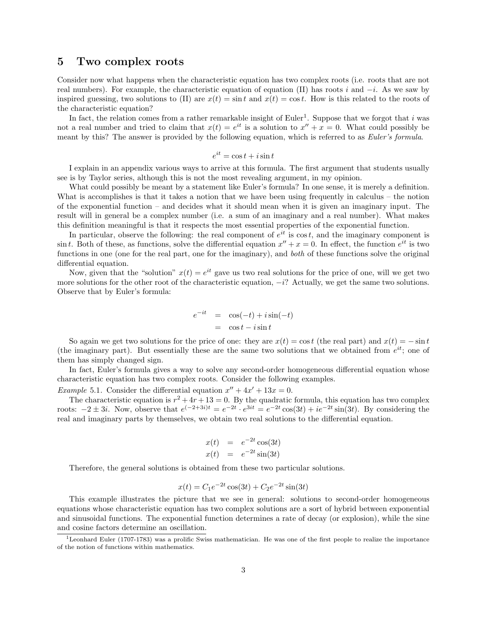### 5 Two complex roots

Consider now what happens when the characteristic equation has two complex roots (i.e. roots that are not real numbers). For example, the characteristic equation of equation (II) has roots i and  $-i$ . As we saw by inspired guessing, two solutions to (II) are  $x(t) = \sin t$  and  $x(t) = \cos t$ . How is this related to the roots of the characteristic equation?

In fact, the relation comes from a rather remarkable insight of Euler<sup>1</sup>. Suppose that we forgot that i was not a real number and tried to claim that  $x(t) = e^{it}$  is a solution to  $x'' + x = 0$ . What could possibly be meant by this? The answer is provided by the following equation, which is referred to as *Euler's formula*.

$$
e^{it} = \cos t + i\sin t
$$

I explain in an appendix various ways to arrive at this formula. The first argument that students usually see is by Taylor series, although this is not the most revealing argument, in my opinion.

What could possibly be meant by a statement like Euler's formula? In one sense, it is merely a definition. What is accomplishes is that it takes a notion that we have been using frequently in calculus – the notion of the exponential function – and decides what it should mean when it is given an imaginary input. The result will in general be a complex number (i.e. a sum of an imaginary and a real number). What makes this definition meaningful is that it respects the most essential properties of the exponential function.

In particular, observe the following: the real component of  $e^{it}$  is cost, and the imaginary component is  $\sin t$ . Both of these, as functions, solve the differential equation  $x'' + x = 0$ . In effect, the function  $e^{it}$  is two functions in one (one for the real part, one for the imaginary), and *both* of these functions solve the original differential equation.

Now, given that the "solution"  $x(t) = e^{it}$  gave us two real solutions for the price of one, will we get two more solutions for the other root of the characteristic equation,  $-i$ ? Actually, we get the same two solutions. Observe that by Euler's formula:

$$
e^{-it} = \cos(-t) + i\sin(-t)
$$
  
=  $\cos t - i\sin t$ 

So again we get two solutions for the price of one: they are  $x(t) = \cos t$  (the real part) and  $x(t) = -\sin t$ (the imaginary part). But essentially these are the same two solutions that we obtained from  $e^{it}$ ; one of them has simply changed sign.

In fact, Euler's formula gives a way to solve any second-order homogeneous differential equation whose characteristic equation has two complex roots. Consider the following examples.

*Example* 5.1. Consider the differential equation  $x'' + 4x' + 13x = 0$ .

The characteristic equation is  $r^2 + 4r + 13 = 0$ . By the quadratic formula, this equation has two complex roots:  $-2 \pm 3i$ . Now, observe that  $e^{(-2+3i)t} = e^{-2t} \cdot e^{3it} = e^{-2t} \cos(3t) + ie^{-2t} \sin(3t)$ . By considering the real and imaginary parts by themselves, we obtain two real solutions to the differential equation.

$$
x(t) = e^{-2t} \cos(3t)
$$
  

$$
x(t) = e^{-2t} \sin(3t)
$$

Therefore, the general solutions is obtained from these two particular solutions.

$$
x(t) = C_1 e^{-2t} \cos(3t) + C_2 e^{-2t} \sin(3t)
$$

This example illustrates the picture that we see in general: solutions to second-order homogeneous equations whose characteristic equation has two complex solutions are a sort of hybrid between exponential and sinusoidal functions. The exponential function determines a rate of decay (or explosion), while the sine and cosine factors determine an oscillation.

 $1$ Leonhard Euler (1707-1783) was a prolific Swiss mathematician. He was one of the first people to realize the importance of the notion of functions within mathematics.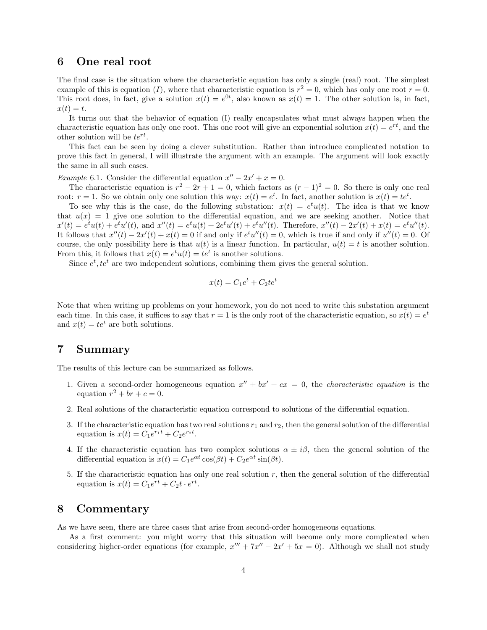#### 6 One real root

The final case is the situation where the characteristic equation has only a single (real) root. The simplest example of this is equation (I), where that characteristic equation is  $r^2 = 0$ , which has only one root  $r = 0$ . This root does, in fact, give a solution  $x(t) = e^{0t}$ , also known as  $x(t) = 1$ . The other solution is, in fact,  $x(t) = t.$ 

It turns out that the behavior of equation (I) really encapsulates what must always happen when the characteristic equation has only one root. This one root will give an exponential solution  $x(t) = e^{rt}$ , and the other solution will be  $te^{rt}$ .

This fact can be seen by doing a clever substitution. Rather than introduce complicated notation to prove this fact in general, I will illustrate the argument with an example. The argument will look exactly the same in all such cases.

Example 6.1. Consider the differential equation  $x'' - 2x' + x = 0$ .

The characteristic equation is  $r^2 - 2r + 1 = 0$ , which factors as  $(r - 1)^2 = 0$ . So there is only one real root:  $r = 1$ . So we obtain only one solution this way:  $x(t) = e^t$ . In fact, another solution is  $x(t) = te^t$ .

To see why this is the case, do the following substation:  $x(t) = e^t u(t)$ . The idea is that we know that  $u(x) = 1$  give one solution to the differential equation, and we are seeking another. Notice that  $x'(t) = e^t u(t) + e^t u'(t)$ , and  $x''(t) = e^t u(t) + 2e^t u'(t) + e^t u''(t)$ . Therefore,  $x''(t) - 2x'(t) + x(t) = e^t u''(t)$ . It follows that  $x''(t) - 2x'(t) + x(t) = 0$  if and only if  $e^t u''(t) = 0$ , which is true if and only if  $u''(t) = 0$ . Of course, the only possibility here is that  $u(t)$  is a linear function. In particular,  $u(t) = t$  is another solution. From this, it follows that  $x(t) = e^t u(t) = t e^t$  is another solutions.

Since  $e^t$ ,  $te^t$  are two independent solutions, combining them gives the general solution.

$$
x(t) = C_1 e^t + C_2 t e^t
$$

Note that when writing up problems on your homework, you do not need to write this substation argument each time. In this case, it suffices to say that  $r = 1$  is the only root of the characteristic equation, so  $x(t) = e^t$ and  $x(t) = te^t$  are both solutions.

#### 7 Summary

The results of this lecture can be summarized as follows.

- 1. Given a second-order homogeneous equation  $x'' + bx' + cx = 0$ , the *characteristic equation* is the equation  $r^2 + br + c = 0$ .
- 2. Real solutions of the characteristic equation correspond to solutions of the differential equation.
- 3. If the characteristic equation has two real solutions  $r_1$  and  $r_2$ , then the general solution of the differential equation is  $x(t) = C_1 e^{r_1 t} + C_2 e^{r_2 t}$ .
- 4. If the characteristic equation has two complex solutions  $\alpha \pm i\beta$ , then the general solution of the differential equation is  $x(t) = C_1 e^{\alpha t} \cos(\beta t) + C_2 e^{\alpha t} \sin(\beta t)$ .
- 5. If the characteristic equation has only one real solution r, then the general solution of the differential equation is  $x(t) = C_1 e^{rt} + C_2 t \cdot e^{rt}$ .

### 8 Commentary

As we have seen, there are three cases that arise from second-order homogeneous equations.

As a first comment: you might worry that this situation will become only more complicated when considering higher-order equations (for example,  $x''' + 7x'' - 2x' + 5x = 0$ ). Although we shall not study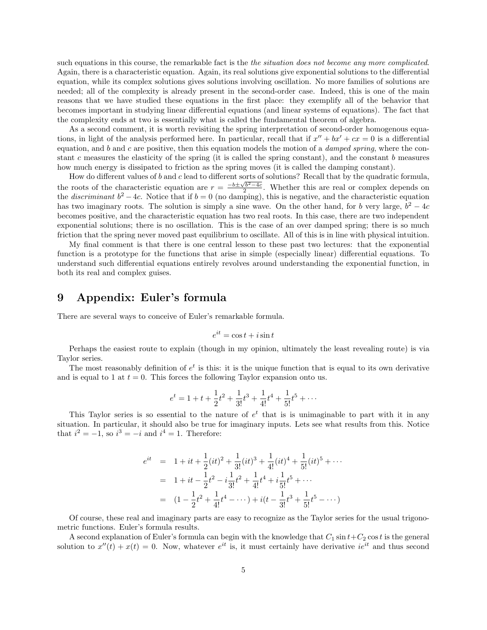such equations in this course, the remarkable fact is the *the situation does not become any more complicated*. Again, there is a characteristic equation. Again, its real solutions give exponential solutions to the differential equation, while its complex solutions gives solutions involving oscillation. No more families of solutions are needed; all of the complexity is already present in the second-order case. Indeed, this is one of the main reasons that we have studied these equations in the first place: they exemplify all of the behavior that becomes important in studying linear differential equations (and linear systems of equations). The fact that the complexity ends at two is essentially what is called the fundamental theorem of algebra.

As a second comment, it is worth revisiting the spring interpretation of second-order homogenous equations, in light of the analysis performed here. In particular, recall that if  $x'' + bx' + cx = 0$  is a differential equation, and  $b$  and  $c$  are positive, then this equation models the motion of a *damped spring*, where the constant c measures the elasticity of the spring (it is called the spring constant), and the constant  $b$  measures how much energy is dissipated to friction as the spring moves (it is called the damping constant).

How do different values of b and c lead to different sorts of solutions? Recall that by the quadratic formula, the roots of the characteristic equation are  $r = \frac{-b \pm \sqrt{b^2-4c}}{2}$ . Whether this are real or complex depends on the *discriminant*  $b^2 - 4c$ . Notice that if  $b = 0$  (no damping), this is negative, and the characteristic equation has two imaginary roots. The solution is simply a sine wave. On the other hand, for b very large,  $b^2 - 4c$ becomes positive, and the characteristic equation has two real roots. In this case, there are two independent exponential solutions; there is no oscillation. This is the case of an over damped spring; there is so much friction that the spring never moved past equilibrium to oscillate. All of this is in line with physical intuition.

My final comment is that there is one central lesson to these past two lectures: that the exponential function is a prototype for the functions that arise in simple (especially linear) differential equations. To understand such differential equations entirely revolves around understanding the exponential function, in both its real and complex guises.

# 9 Appendix: Euler's formula

There are several ways to conceive of Euler's remarkable formula.

$$
e^{it} = \cos t + i\sin t
$$

Perhaps the easiest route to explain (though in my opinion, ultimately the least revealing route) is via Taylor series.

The most reasonably definition of  $e^t$  is this: it is the unique function that is equal to its own derivative and is equal to 1 at  $t = 0$ . This forces the following Taylor expansion onto us.

$$
e^{t} = 1 + t + \frac{1}{2}t^{2} + \frac{1}{3!}t^{3} + \frac{1}{4!}t^{4} + \frac{1}{5!}t^{5} + \cdots
$$

This Taylor series is so essential to the nature of  $e^t$  that is is unimaginable to part with it in any situation. In particular, it should also be true for imaginary inputs. Lets see what results from this. Notice that  $i^2 = -1$ , so  $i^3 = -i$  and  $i^4 = 1$ . Therefore:

$$
e^{it} = 1 + it + \frac{1}{2}(it)^2 + \frac{1}{3!}(it)^3 + \frac{1}{4!}(it)^4 + \frac{1}{5!}(it)^5 + \cdots
$$
  
= 1 + it - \frac{1}{2}t^2 - i\frac{1}{3!}t^2 + \frac{1}{4!}t^4 + i\frac{1}{5!}t^5 + \cdots  
= (1 - \frac{1}{2}t^2 + \frac{1}{4!}t^4 - \cdots) + i(t - \frac{1}{3!}t^3 + \frac{1}{5!}t^5 - \cdots)

Of course, these real and imaginary parts are easy to recognize as the Taylor series for the usual trigonometric functions. Euler's formula results.

A second explanation of Euler's formula can begin with the knowledge that  $C_1 \sin t + C_2 \cos t$  is the general solution to  $x''(t) + x(t) = 0$ . Now, whatever  $e^{it}$  is, it must certainly have derivative  $ie^{it}$  and thus second